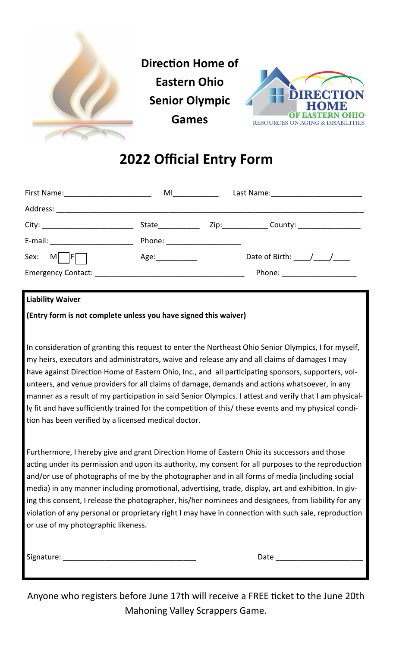

## **2022 Official Entry Form**

| First Name: 1990 1991 1992 1994    | M1                               |                              |  |
|------------------------------------|----------------------------------|------------------------------|--|
|                                    |                                  |                              |  |
|                                    | <b>State State</b>               | County: _________________    |  |
| E-mail: __________________________ | Phone: <u>__________________</u> |                              |  |
| Sex: M<br> F                       | Age:                             | Date of Birth: $/$ /         |  |
| Emergency Contact:                 |                                  | Phone: _____________________ |  |

## **Liability Waiver**

**(Entry form is not complete unless you have signed this waiver)** 

In consideration of granting this request to enter the Northeast Ohio Senior Olympics, I for myself, my heirs, executors and administrators, waive and release any and all claims of damages I may have against Direction Home of Eastern Ohio, Inc., and all participating sponsors, supporters, volunteers, and venue providers for all claims of damage, demands and actions whatsoever, in any manner as a result of my participation in said Senior Olympics. I attest and verify that I am physically fit and have sufficiently trained for the competition of this/ these events and my physical condition has been verified by a licensed medical doctor.

Furthermore, I hereby give and grant Direction Home of Eastern Ohio its successors and those acting under its permission and upon its authority, my consent for all purposes to the reproduction and/or use of photographs of me by the photographer and in all forms of media (including social media) in any manner including promotional, advertising, trade, display, art and exhibition. In giving this consent, I release the photographer, his/her nominees and designees, from liability for any violation of any personal or proprietary right I may have in connection with such sale, reproduction or use of my photographic likeness.

Signature: The contract of the contract of the contract of the contract of the contract of the contract of the contract of the contract of the contract of the contract of the contract of the contract of the contract of the

Anyone who registers before June 17th will receive a FREE ticket to the June 20th Mahoning Valley Scrappers Game.